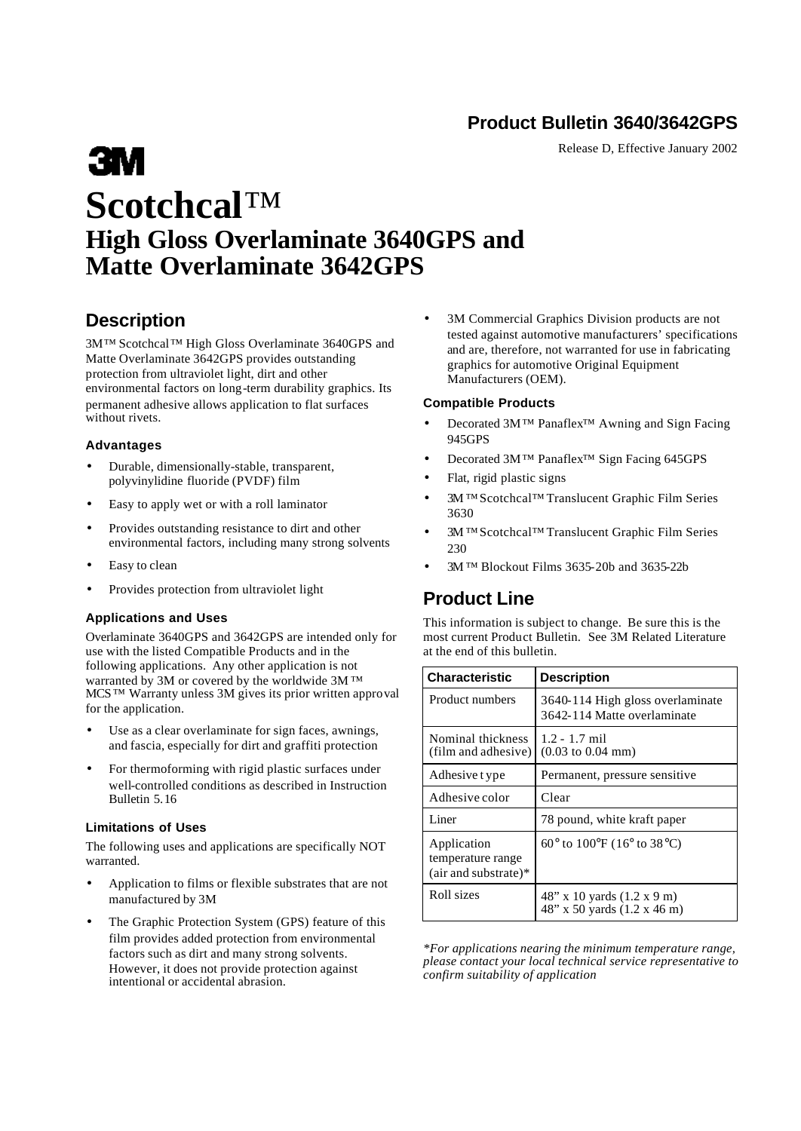## **Product Bulletin 3640/3642GPS**

Release D, Effective January 2002

# **Example Scotchcal**™ **High Gloss Overlaminate 3640GPS and Matte Overlaminate 3642GPS**

## **Description**

3M™ Scotchcal™ High Gloss Overlaminate 3640GPS and Matte Overlaminate 3642GPS provides outstanding protection from ultraviolet light, dirt and other environmental factors on long-term durability graphics. Its permanent adhesive allows application to flat surfaces without rivets.

### **Advantages**

- Durable, dimensionally-stable, transparent, polyvinylidine fluoride (PVDF) film
- Easy to apply wet or with a roll laminator
- Provides outstanding resistance to dirt and other environmental factors, including many strong solvents
- Easy to clean
- Provides protection from ultraviolet light

### **Applications and Uses**

Overlaminate 3640GPS and 3642GPS are intended only for use with the listed Compatible Products and in the following applications. Any other application is not warranted by 3M or covered by the worldwide 3M ™ MCS™ Warranty unless 3M gives its prior written approval for the application.

- Use as a clear overlaminate for sign faces, awnings, and fascia, especially for dirt and graffiti protection
- For thermoforming with rigid plastic surfaces under well-controlled conditions as described in Instruction Bulletin 5.16

### **Limitations of Uses**

The following uses and applications are specifically NOT warranted.

- Application to films or flexible substrates that are not manufactured by 3M
- The Graphic Protection System (GPS) feature of this film provides added protection from environmental factors such as dirt and many strong solvents. However, it does not provide protection against intentional or accidental abrasion.

3M Commercial Graphics Division products are not tested against automotive manufacturers' specifications and are, therefore, not warranted for use in fabricating graphics for automotive Original Equipment Manufacturers (OEM).

### **Compatible Products**

- Decorated 3M™ Panaflex<sup>™</sup> Awning and Sign Facing 945GPS
- Decorated 3M™ Panaflex™ Sign Facing 645GPS
- Flat, rigid plastic signs
- 3M™ Scotchcal™ Translucent Graphic Film Series 3630
- 3M™ Scotchcal™ Translucent Graphic Film Series 230
- 3M™ Blockout Films 3635-20b and 3635-22b

## **Product Line**

This information is subject to change. Be sure this is the most current Product Bulletin. See 3M Related Literature at the end of this bulletin.

| <b>Characteristic</b>                                      | <b>Description</b>                                                   |
|------------------------------------------------------------|----------------------------------------------------------------------|
| Product numbers                                            | 3640-114 High gloss overlaminate<br>3642-114 Matte overlaminate      |
| Nominal thickness<br>(film and adhesive)                   | $1.2 - 1.7$ mil<br>$(0.03 \text{ to } 0.04 \text{ mm})$              |
| Adhesive t ype                                             | Permanent, pressure sensitive                                        |
| Adhesive color                                             | Clear                                                                |
| Liner                                                      | 78 pound, white kraft paper                                          |
| Application<br>temperature range<br>$(air and substrate)*$ | 60 $^{\circ}$ to 100 $^{\circ}$ F (16 $^{\circ}$ to 38 $^{\circ}$ C) |
| Roll sizes                                                 | 48" x 10 yards (1.2 x 9 m)<br>48" x 50 yards (1.2 x 46 m)            |

*\*For applications nearing the minimum temperature range, please contact your local technical service representative to confirm suitability of application*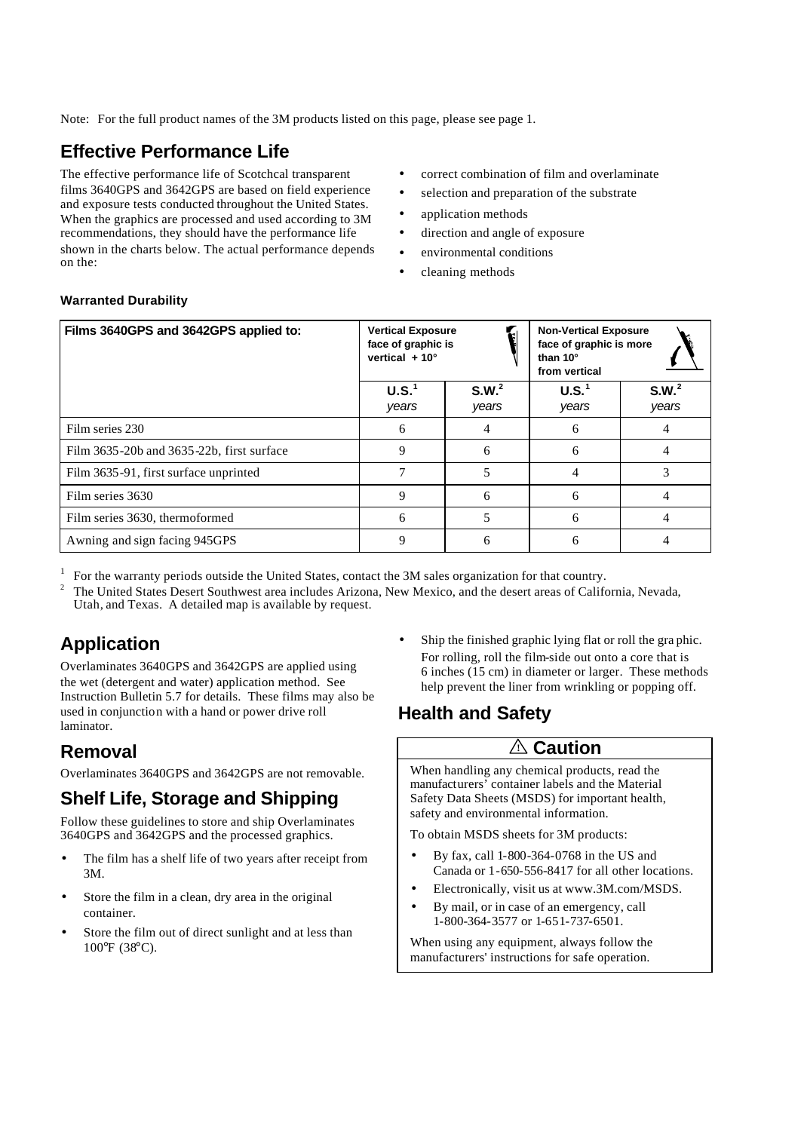Note: For the full product names of the 3M products listed on this page, please see page 1.

## **Effective Performance Life**

The effective performance life of Scotchcal transparent films 3640GPS and 3642GPS are based on field experience and exposure tests conducted throughout the United States. When the graphics are processed and used according to 3M recommendations, they should have the performance life shown in the charts below. The actual performance depends on the:

- correct combination of film and overlaminate
- selection and preparation of the substrate
- application methods
- direction and angle of exposure
- - environmental conditions
	- cleaning methods

| Films 3640GPS and 3642GPS applied to:     | <b>Vertical Exposure</b><br>face of graphic is<br>vertical $+10^{\circ}$ |                            | <b>Non-Vertical Exposure</b><br>face of graphic is more<br>than 10°<br>from vertical |                            |
|-------------------------------------------|--------------------------------------------------------------------------|----------------------------|--------------------------------------------------------------------------------------|----------------------------|
|                                           | U.S. <sup>1</sup><br>years                                               | S.W. <sup>2</sup><br>years | U.S. <sup>1</sup><br>years                                                           | S.W. <sup>2</sup><br>years |
| Film series 230                           | 6                                                                        |                            | h                                                                                    |                            |
| Film 3635-20b and 3635-22b, first surface | Q                                                                        | 6                          | 6                                                                                    |                            |
| Film 3635-91, first surface unprinted     |                                                                          |                            |                                                                                      |                            |
| Film series 3630                          | Q                                                                        | 6                          | h                                                                                    |                            |
| Film series 3630, thermoformed            | h                                                                        |                            | n                                                                                    |                            |
| Awning and sign facing 945GPS             | Ω                                                                        | 6                          |                                                                                      |                            |

1 For the warranty periods outside the United States, contact the 3M sales organization for that country.

2 The United States Desert Southwest area includes Arizona, New Mexico, and the desert areas of California, Nevada, Utah, and Texas. A detailed map is available by request.

## **Application**

Overlaminates 3640GPS and 3642GPS are applied using the wet (detergent and water) application method. See Instruction Bulletin 5.7 for details. These films may also be used in conjunction with a hand or power drive roll laminator.

## **Removal**

Overlaminates 3640GPS and 3642GPS are not removable.

## **Shelf Life, Storage and Shipping**

Follow these guidelines to store and ship Overlaminates 3640GPS and 3642GPS and the processed graphics.

- The film has a shelf life of two years after receipt from 3M.
- Store the film in a clean, dry area in the original container.
- Store the film out of direct sunlight and at less than 100°F (38°C).

• Ship the finished graphic lying flat or roll the graphic. For rolling, roll the film-side out onto a core that is 6 inches (15 cm) in diameter or larger. These methods help prevent the liner from wrinkling or popping off.

# **Health and Safety**

## **! Caution**

When handling any chemical products, read the manufacturers' container labels and the Material Safety Data Sheets (MSDS) for important health, safety and environmental information.

To obtain MSDS sheets for 3M products:

- By fax, call 1-800-364-0768 in the US and Canada or 1-650-556-8417 for all other locations.
- Electronically, visit us at www.3M.com/MSDS.
- By mail, or in case of an emergency, call 1-800-364-3577 or 1-651-737-6501.

When using any equipment, always follow the manufacturers' instructions for safe operation.

### **Warranted Durability**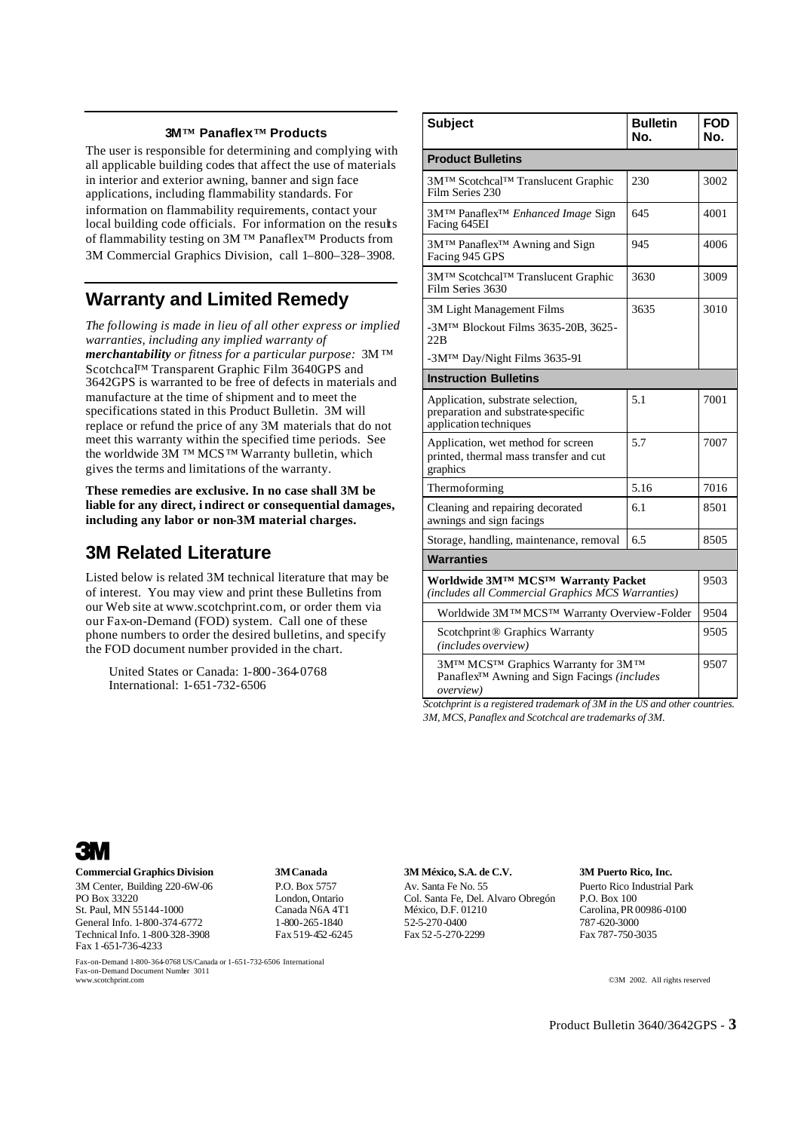#### **3M™ Panaflex™ Products**

The user is responsible for determining and complying with all applicable building codes that affect the use of materials in interior and exterior awning, banner and sign face applications, including flammability standards. For information on flammability requirements, contact your local building code officials. For information on the results of flammability testing on 3M ™ Panaflex™ Products from 3M Commercial Graphics Division, call 1–800–328– 3908.

## **Warranty and Limited Remedy**

*The following is made in lieu of all other express or implied warranties, including any implied warranty of merchantability or fitness for a particular purpose:* 3M™ Scotchca<sup>[™</sup> Transparent Graphic Film 3640GPS and 3642GPS is warranted to be free of defects in materials and manufacture at the time of shipment and to meet the specifications stated in this Product Bulletin. 3M will replace or refund the price of any 3M materials that do not meet this warranty within the specified time periods. See the worldwide  $3\overline{M}$ <sup>TM</sup> MCS<sup>TM</sup> Warranty bulletin, which gives the terms and limitations of the warranty.

**These remedies are exclusive. In no case shall 3M be liable for any direct, i ndirect or consequential damages, including any labor or non-3M material charges.**

## **3M Related Literature**

Listed below is related 3M technical literature that may be of interest. You may view and print these Bulletins from our Web site at www.scotchprint.com, or order them via our Fax-on-Demand (FOD) system. Call one of these phone numbers to order the desired bulletins, and specify the FOD document number provided in the chart.

United States or Canada: 1-800-364-0768 International: 1-651-732-6506

| <b>Subject</b>                                                                                         | <b>Bulletin</b><br>No. | FOD<br>No. |  |  |  |
|--------------------------------------------------------------------------------------------------------|------------------------|------------|--|--|--|
| <b>Product Bulletins</b>                                                                               |                        |            |  |  |  |
| 3M™ Scotchcal™ Translucent Graphic<br>Film Series 230                                                  | 230                    | 3002       |  |  |  |
| 3M™ Panaflex <sup>™</sup> Enhanced Image Sign<br>Facing 645EI                                          | 645                    | 4001       |  |  |  |
| 3M™ Panaflex <sup>™</sup> Awning and Sign<br>Facing 945 GPS                                            | 945                    | 4006       |  |  |  |
| 3M™ Scotchcal™ Translucent Graphic<br>Film Series 3630                                                 | 3630                   | 3009       |  |  |  |
| 3M Light Management Films                                                                              | 3635                   | 3010       |  |  |  |
| -3M <sup>TM</sup> Blockout Films 3635-20B, 3625-<br>22B                                                |                        |            |  |  |  |
| -3M <sup>TM</sup> Day/Night Films 3635-91                                                              |                        |            |  |  |  |
| <b>Instruction Bulletins</b>                                                                           |                        |            |  |  |  |
| Application, substrate selection,<br>preparation and substrate-specific<br>application techniques      | 5.1                    | 7001       |  |  |  |
| Application, wet method for screen<br>printed, thermal mass transfer and cut<br>graphics               | 5.7                    | 7007       |  |  |  |
| Thermoforming                                                                                          | 5.16                   | 7016       |  |  |  |
| Cleaning and repairing decorated<br>awnings and sign facings                                           | 6.1                    | 8501       |  |  |  |
| Storage, handling, maintenance, removal                                                                | 6.5                    | 8505       |  |  |  |
| <b>Warranties</b>                                                                                      |                        |            |  |  |  |
| Worldwide 3MTM MCSTM Warranty Packet<br>(includes all Commercial Graphics MCS Warranties)              |                        |            |  |  |  |
| Worldwide 3MTMMCSTM Warranty Overview-Folder                                                           |                        |            |  |  |  |
| Scotchprint® Graphics Warranty<br>(includes overview)                                                  |                        |            |  |  |  |
| 3M™ MCS™ Graphics Warranty for 3M™<br>Panaflex™ Awning and Sign Facings (includes<br><i>overview</i> ) |                        |            |  |  |  |

*Scotchprint is a registered trademark of 3M in the US and other countries. 3M, MCS, Panaflex and Scotchcal are trademarks of 3M.*



#### **Commercial Graphics Division 3M Canada 3M México, S.A. de C.V. 3M Puerto Rico, Inc.**

General Info. 1-800-374-6772 1-800-265-1840 52-5-270-0400 787-620-3000 787-620-3000<br>
Technical Info. 1-800-328-3908 Fax 519-452-6245 Fax 52-5-270-2299 Fax 787-750-3035 Technical Info. 1-800-328-3908 Fax 1-651-736-4233

Fax-on-Demand Document Number 3011

Fax-on-Demand 1-800-364-0768 US/Canada or 1-651-732-6506 International

3M Center, Building 220-6W-06 P.O. Box 5757 Av. Santa Fe No. 55 Puerto Rico Industrial Park<br>PO Box 33220 Puerto Rico Industrial Park<br>Alvaro Obregón P.O. Box 100 PO Box 33220 London, Ontario Col. Santa Fe, Del. Alvaro Obregón St. Paul. MN 55144-1000 Canada N6A 4T1 México. D.F. 01210

Carolina, PR 00986-0100

©3M 2002. All rights reserved

Product Bulletin 3640/3642GPS - **3**